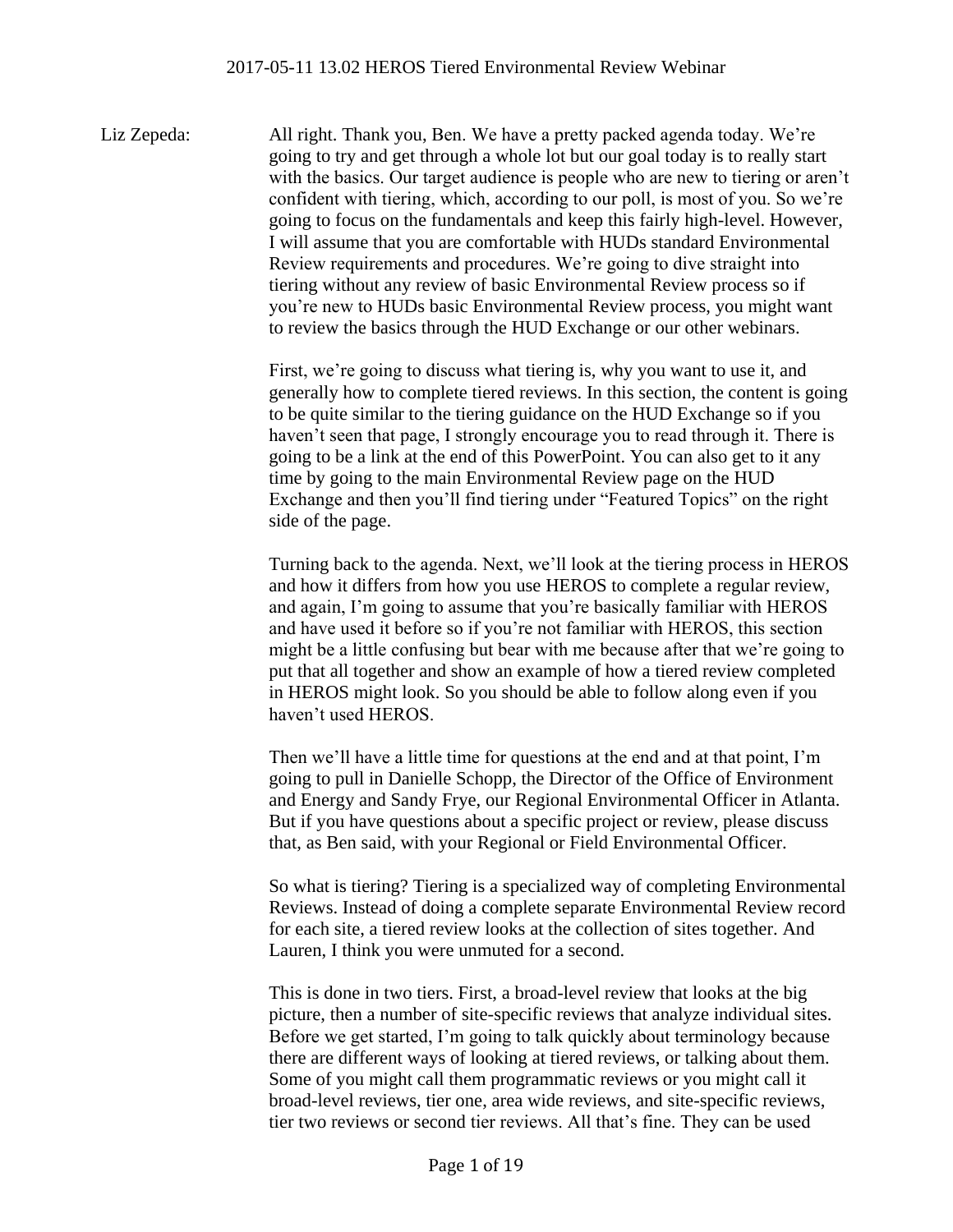Liz Zepeda: All right. Thank you, Ben. We have a pretty packed agenda today. We're going to try and get through a whole lot but our goal today is to really start with the basics. Our target audience is people who are new to tiering or aren't confident with tiering, which, according to our poll, is most of you. So we're going to focus on the fundamentals and keep this fairly high-level. However, I will assume that you are comfortable with HUDs standard Environmental Review requirements and procedures. We're going to dive straight into tiering without any review of basic Environmental Review process so if you're new to HUDs basic Environmental Review process, you might want to review the basics through the HUD Exchange or our other webinars.

> First, we're going to discuss what tiering is, why you want to use it, and generally how to complete tiered reviews. In this section, the content is going to be quite similar to the tiering guidance on the HUD Exchange so if you haven't seen that page, I strongly encourage you to read through it. There is going to be a link at the end of this PowerPoint. You can also get to it any time by going to the main Environmental Review page on the HUD Exchange and then you'll find tiering under "Featured Topics" on the right side of the page.

> Turning back to the agenda. Next, we'll look at the tiering process in HEROS and how it differs from how you use HEROS to complete a regular review, and again, I'm going to assume that you're basically familiar with HEROS and have used it before so if you're not familiar with HEROS, this section might be a little confusing but bear with me because after that we're going to put that all together and show an example of how a tiered review completed in HEROS might look. So you should be able to follow along even if you haven't used HEROS.

Then we'll have a little time for questions at the end and at that point, I'm going to pull in Danielle Schopp, the Director of the Office of Environment and Energy and Sandy Frye, our Regional Environmental Officer in Atlanta. But if you have questions about a specific project or review, please discuss that, as Ben said, with your Regional or Field Environmental Officer.

So what is tiering? Tiering is a specialized way of completing Environmental Reviews. Instead of doing a complete separate Environmental Review record for each site, a tiered review looks at the collection of sites together. And Lauren, I think you were unmuted for a second.

This is done in two tiers. First, a broad-level review that looks at the big picture, then a number of site-specific reviews that analyze individual sites. Before we get started, I'm going to talk quickly about terminology because there are different ways of looking at tiered reviews, or talking about them. Some of you might call them programmatic reviews or you might call it broad-level reviews, tier one, area wide reviews, and site-specific reviews, tier two reviews or second tier reviews. All that's fine. They can be used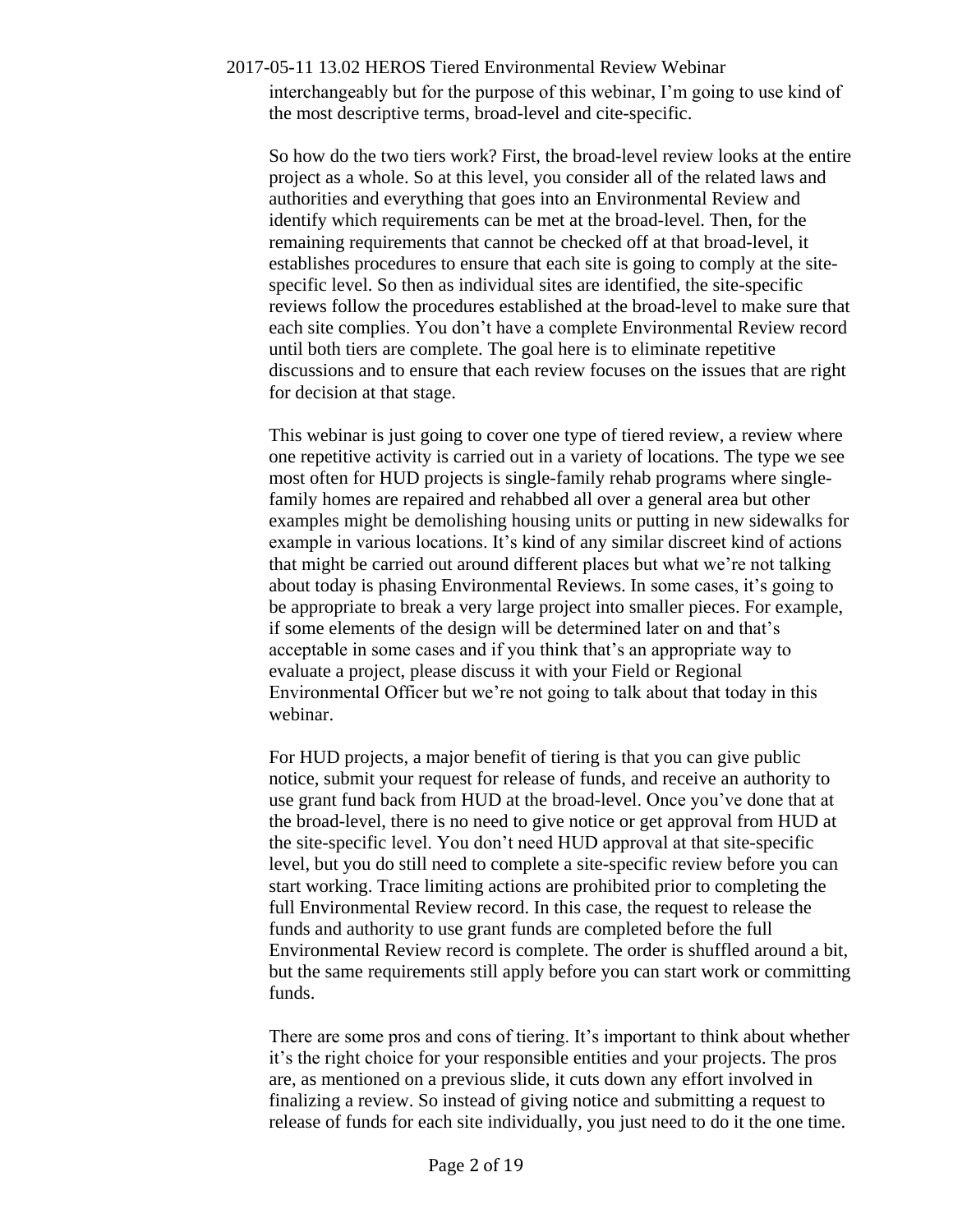interchangeably but for the purpose of this webinar, I'm going to use kind of the most descriptive terms, broad-level and cite-specific.

So how do the two tiers work? First, the broad-level review looks at the entire project as a whole. So at this level, you consider all of the related laws and authorities and everything that goes into an Environmental Review and identify which requirements can be met at the broad-level. Then, for the remaining requirements that cannot be checked off at that broad-level, it establishes procedures to ensure that each site is going to comply at the sitespecific level. So then as individual sites are identified, the site-specific reviews follow the procedures established at the broad-level to make sure that each site complies. You don't have a complete Environmental Review record until both tiers are complete. The goal here is to eliminate repetitive discussions and to ensure that each review focuses on the issues that are right for decision at that stage.

This webinar is just going to cover one type of tiered review, a review where one repetitive activity is carried out in a variety of locations. The type we see most often for HUD projects is single-family rehab programs where singlefamily homes are repaired and rehabbed all over a general area but other examples might be demolishing housing units or putting in new sidewalks for example in various locations. It's kind of any similar discreet kind of actions that might be carried out around different places but what we're not talking about today is phasing Environmental Reviews. In some cases, it's going to be appropriate to break a very large project into smaller pieces. For example, if some elements of the design will be determined later on and that's acceptable in some cases and if you think that's an appropriate way to evaluate a project, please discuss it with your Field or Regional Environmental Officer but we're not going to talk about that today in this webinar.

For HUD projects, a major benefit of tiering is that you can give public notice, submit your request for release of funds, and receive an authority to use grant fund back from HUD at the broad-level. Once you've done that at the broad-level, there is no need to give notice or get approval from HUD at the site-specific level. You don't need HUD approval at that site-specific level, but you do still need to complete a site-specific review before you can start working. Trace limiting actions are prohibited prior to completing the full Environmental Review record. In this case, the request to release the funds and authority to use grant funds are completed before the full Environmental Review record is complete. The order is shuffled around a bit, but the same requirements still apply before you can start work or committing funds.

There are some pros and cons of tiering. It's important to think about whether it's the right choice for your responsible entities and your projects. The pros are, as mentioned on a previous slide, it cuts down any effort involved in finalizing a review. So instead of giving notice and submitting a request to release of funds for each site individually, you just need to do it the one time.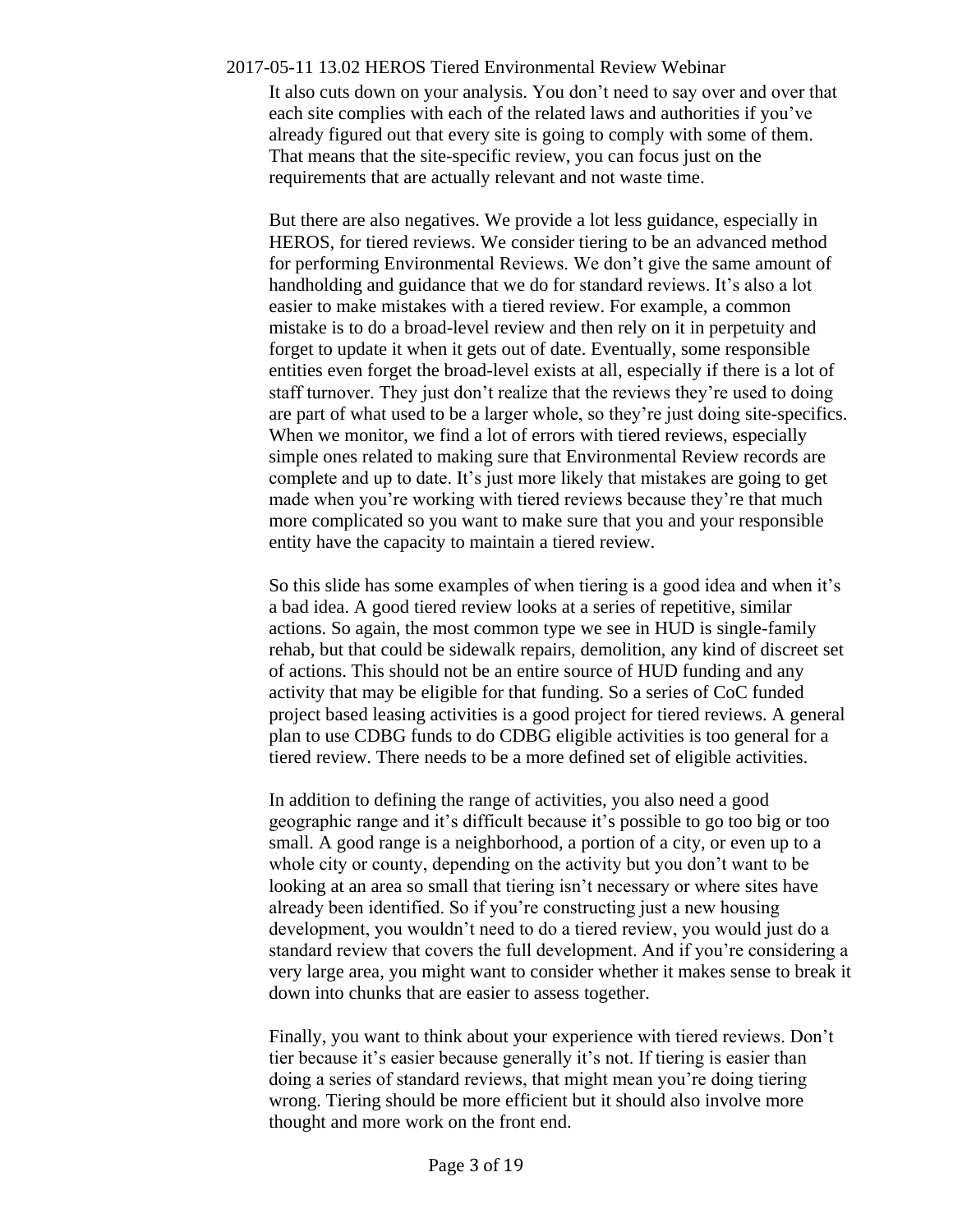It also cuts down on your analysis. You don't need to say over and over that each site complies with each of the related laws and authorities if you've already figured out that every site is going to comply with some of them. That means that the site-specific review, you can focus just on the requirements that are actually relevant and not waste time.

But there are also negatives. We provide a lot less guidance, especially in HEROS, for tiered reviews. We consider tiering to be an advanced method for performing Environmental Reviews. We don't give the same amount of handholding and guidance that we do for standard reviews. It's also a lot easier to make mistakes with a tiered review. For example, a common mistake is to do a broad-level review and then rely on it in perpetuity and forget to update it when it gets out of date. Eventually, some responsible entities even forget the broad-level exists at all, especially if there is a lot of staff turnover. They just don't realize that the reviews they're used to doing are part of what used to be a larger whole, so they're just doing site-specifics. When we monitor, we find a lot of errors with tiered reviews, especially simple ones related to making sure that Environmental Review records are complete and up to date. It's just more likely that mistakes are going to get made when you're working with tiered reviews because they're that much more complicated so you want to make sure that you and your responsible entity have the capacity to maintain a tiered review.

So this slide has some examples of when tiering is a good idea and when it's a bad idea. A good tiered review looks at a series of repetitive, similar actions. So again, the most common type we see in HUD is single-family rehab, but that could be sidewalk repairs, demolition, any kind of discreet set of actions. This should not be an entire source of HUD funding and any activity that may be eligible for that funding. So a series of CoC funded project based leasing activities is a good project for tiered reviews. A general plan to use CDBG funds to do CDBG eligible activities is too general for a tiered review. There needs to be a more defined set of eligible activities.

In addition to defining the range of activities, you also need a good geographic range and it's difficult because it's possible to go too big or too small. A good range is a neighborhood, a portion of a city, or even up to a whole city or county, depending on the activity but you don't want to be looking at an area so small that tiering isn't necessary or where sites have already been identified. So if you're constructing just a new housing development, you wouldn't need to do a tiered review, you would just do a standard review that covers the full development. And if you're considering a very large area, you might want to consider whether it makes sense to break it down into chunks that are easier to assess together.

Finally, you want to think about your experience with tiered reviews. Don't tier because it's easier because generally it's not. If tiering is easier than doing a series of standard reviews, that might mean you're doing tiering wrong. Tiering should be more efficient but it should also involve more thought and more work on the front end.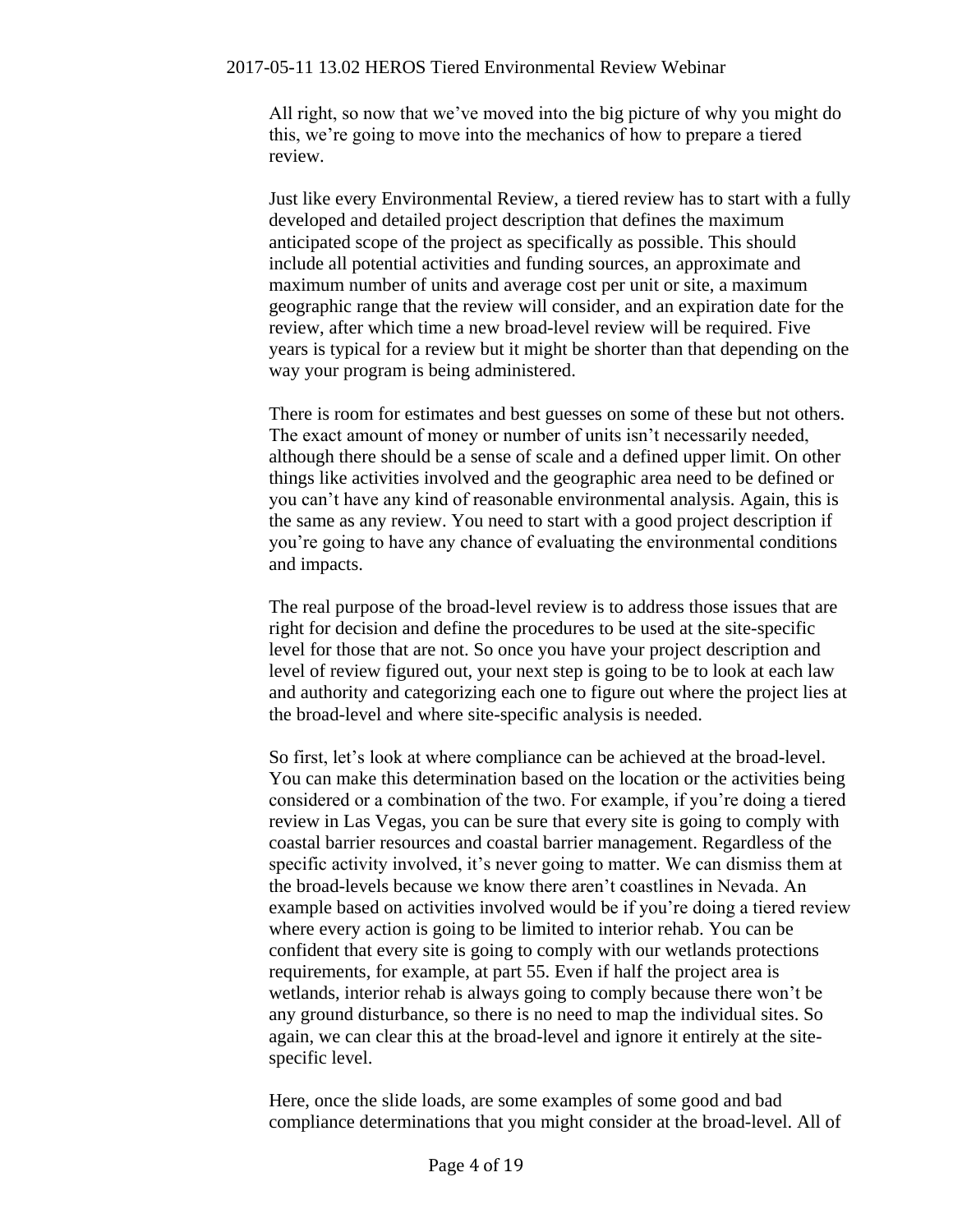All right, so now that we've moved into the big picture of why you might do this, we're going to move into the mechanics of how to prepare a tiered review.

Just like every Environmental Review, a tiered review has to start with a fully developed and detailed project description that defines the maximum anticipated scope of the project as specifically as possible. This should include all potential activities and funding sources, an approximate and maximum number of units and average cost per unit or site, a maximum geographic range that the review will consider, and an expiration date for the review, after which time a new broad-level review will be required. Five years is typical for a review but it might be shorter than that depending on the way your program is being administered.

There is room for estimates and best guesses on some of these but not others. The exact amount of money or number of units isn't necessarily needed, although there should be a sense of scale and a defined upper limit. On other things like activities involved and the geographic area need to be defined or you can't have any kind of reasonable environmental analysis. Again, this is the same as any review. You need to start with a good project description if you're going to have any chance of evaluating the environmental conditions and impacts.

The real purpose of the broad-level review is to address those issues that are right for decision and define the procedures to be used at the site-specific level for those that are not. So once you have your project description and level of review figured out, your next step is going to be to look at each law and authority and categorizing each one to figure out where the project lies at the broad-level and where site-specific analysis is needed.

So first, let's look at where compliance can be achieved at the broad-level. You can make this determination based on the location or the activities being considered or a combination of the two. For example, if you're doing a tiered review in Las Vegas, you can be sure that every site is going to comply with coastal barrier resources and coastal barrier management. Regardless of the specific activity involved, it's never going to matter. We can dismiss them at the broad-levels because we know there aren't coastlines in Nevada. An example based on activities involved would be if you're doing a tiered review where every action is going to be limited to interior rehab. You can be confident that every site is going to comply with our wetlands protections requirements, for example, at part 55. Even if half the project area is wetlands, interior rehab is always going to comply because there won't be any ground disturbance, so there is no need to map the individual sites. So again, we can clear this at the broad-level and ignore it entirely at the sitespecific level.

Here, once the slide loads, are some examples of some good and bad compliance determinations that you might consider at the broad-level. All of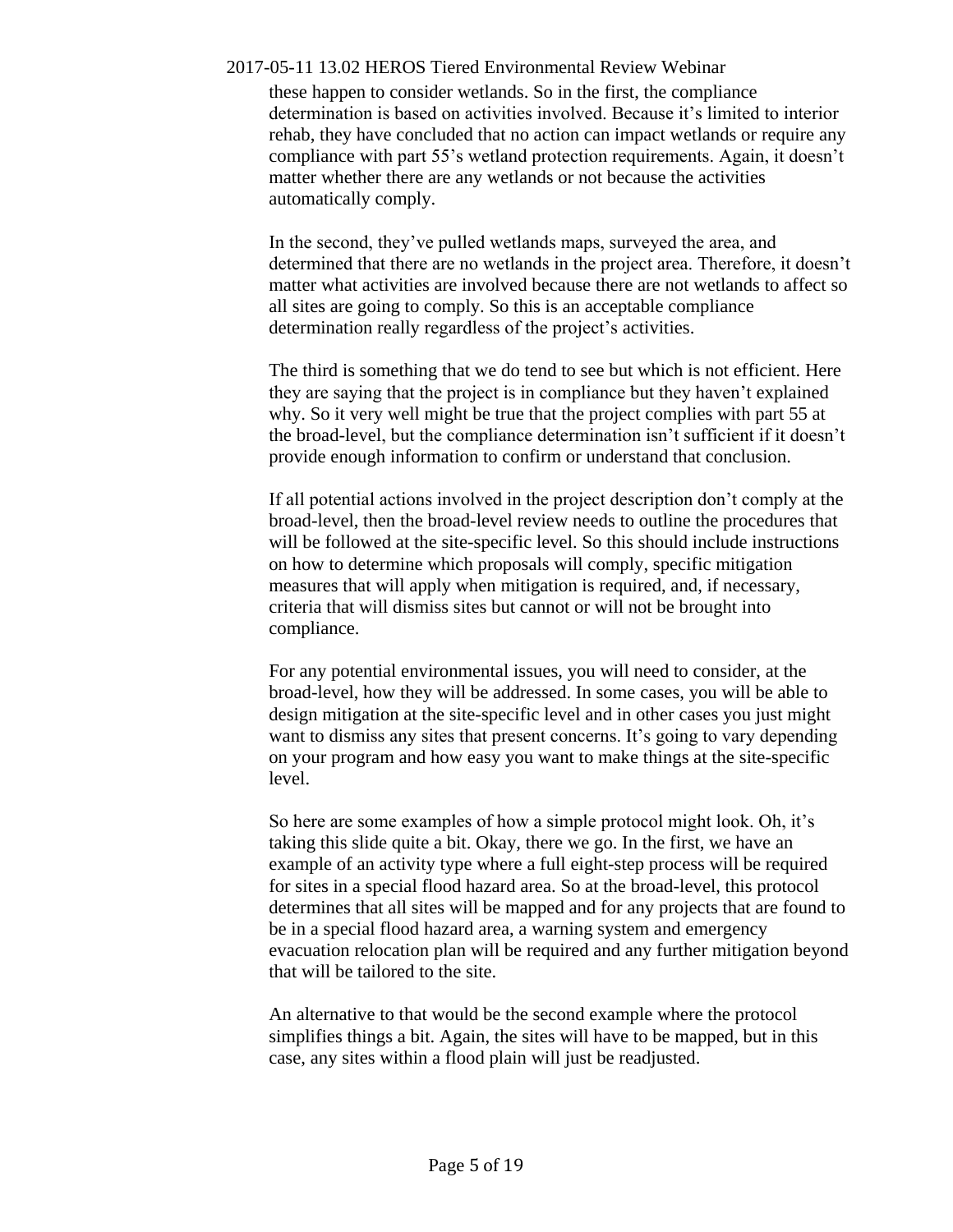these happen to consider wetlands. So in the first, the compliance determination is based on activities involved. Because it's limited to interior rehab, they have concluded that no action can impact wetlands or require any compliance with part 55's wetland protection requirements. Again, it doesn't matter whether there are any wetlands or not because the activities automatically comply.

In the second, they've pulled wetlands maps, surveyed the area, and determined that there are no wetlands in the project area. Therefore, it doesn't matter what activities are involved because there are not wetlands to affect so all sites are going to comply. So this is an acceptable compliance determination really regardless of the project's activities.

The third is something that we do tend to see but which is not efficient. Here they are saying that the project is in compliance but they haven't explained why. So it very well might be true that the project complies with part 55 at the broad-level, but the compliance determination isn't sufficient if it doesn't provide enough information to confirm or understand that conclusion.

If all potential actions involved in the project description don't comply at the broad-level, then the broad-level review needs to outline the procedures that will be followed at the site-specific level. So this should include instructions on how to determine which proposals will comply, specific mitigation measures that will apply when mitigation is required, and, if necessary, criteria that will dismiss sites but cannot or will not be brought into compliance.

For any potential environmental issues, you will need to consider, at the broad-level, how they will be addressed. In some cases, you will be able to design mitigation at the site-specific level and in other cases you just might want to dismiss any sites that present concerns. It's going to vary depending on your program and how easy you want to make things at the site-specific level.

So here are some examples of how a simple protocol might look. Oh, it's taking this slide quite a bit. Okay, there we go. In the first, we have an example of an activity type where a full eight-step process will be required for sites in a special flood hazard area. So at the broad-level, this protocol determines that all sites will be mapped and for any projects that are found to be in a special flood hazard area, a warning system and emergency evacuation relocation plan will be required and any further mitigation beyond that will be tailored to the site.

An alternative to that would be the second example where the protocol simplifies things a bit. Again, the sites will have to be mapped, but in this case, any sites within a flood plain will just be readjusted.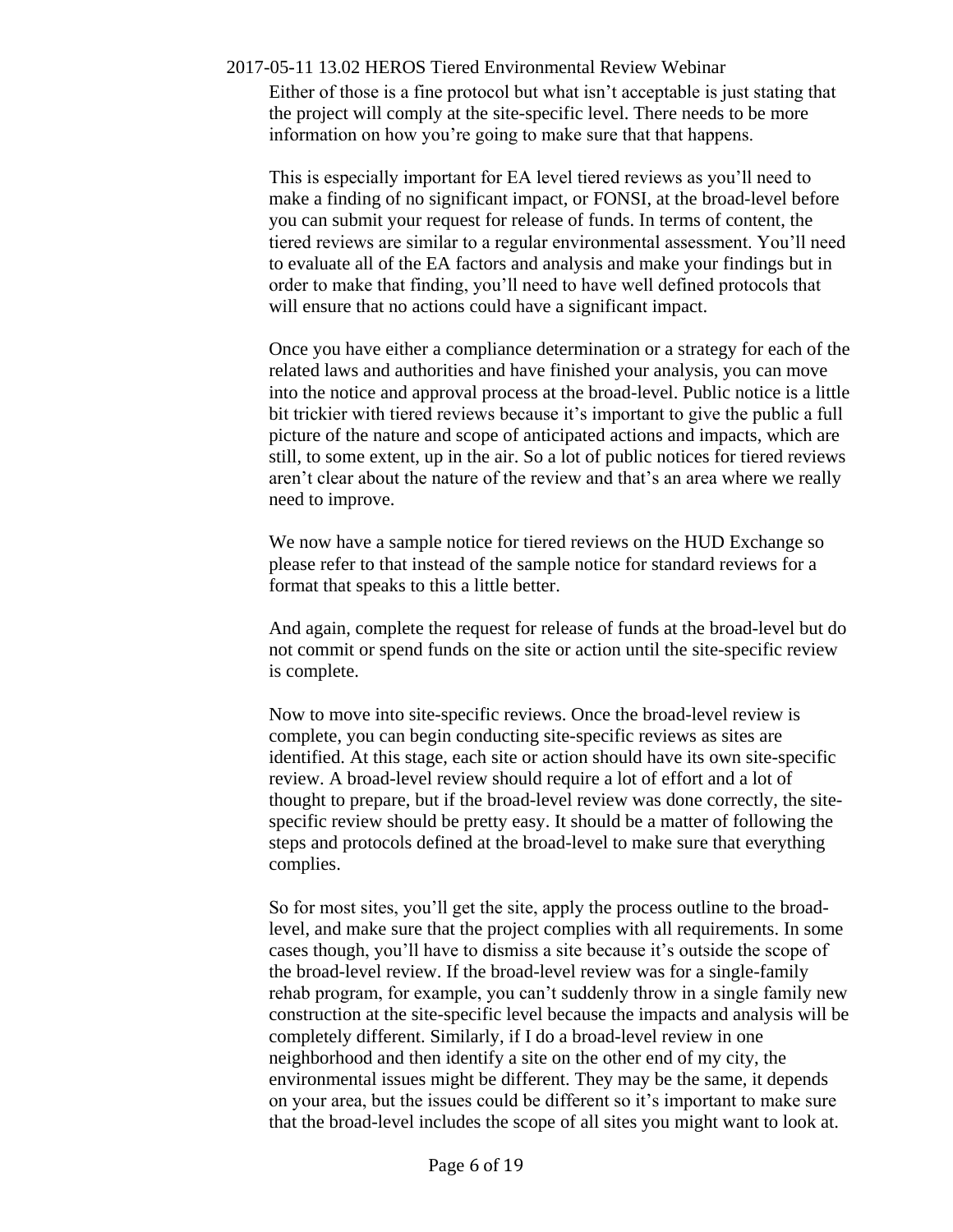Either of those is a fine protocol but what isn't acceptable is just stating that the project will comply at the site-specific level. There needs to be more information on how you're going to make sure that that happens.

This is especially important for EA level tiered reviews as you'll need to make a finding of no significant impact, or FONSI, at the broad-level before you can submit your request for release of funds. In terms of content, the tiered reviews are similar to a regular environmental assessment. You'll need to evaluate all of the EA factors and analysis and make your findings but in order to make that finding, you'll need to have well defined protocols that will ensure that no actions could have a significant impact.

Once you have either a compliance determination or a strategy for each of the related laws and authorities and have finished your analysis, you can move into the notice and approval process at the broad-level. Public notice is a little bit trickier with tiered reviews because it's important to give the public a full picture of the nature and scope of anticipated actions and impacts, which are still, to some extent, up in the air. So a lot of public notices for tiered reviews aren't clear about the nature of the review and that's an area where we really need to improve.

We now have a sample notice for tiered reviews on the HUD Exchange so please refer to that instead of the sample notice for standard reviews for a format that speaks to this a little better.

And again, complete the request for release of funds at the broad-level but do not commit or spend funds on the site or action until the site-specific review is complete.

Now to move into site-specific reviews. Once the broad-level review is complete, you can begin conducting site-specific reviews as sites are identified. At this stage, each site or action should have its own site-specific review. A broad-level review should require a lot of effort and a lot of thought to prepare, but if the broad-level review was done correctly, the sitespecific review should be pretty easy. It should be a matter of following the steps and protocols defined at the broad-level to make sure that everything complies.

So for most sites, you'll get the site, apply the process outline to the broadlevel, and make sure that the project complies with all requirements. In some cases though, you'll have to dismiss a site because it's outside the scope of the broad-level review. If the broad-level review was for a single-family rehab program, for example, you can't suddenly throw in a single family new construction at the site-specific level because the impacts and analysis will be completely different. Similarly, if I do a broad-level review in one neighborhood and then identify a site on the other end of my city, the environmental issues might be different. They may be the same, it depends on your area, but the issues could be different so it's important to make sure that the broad-level includes the scope of all sites you might want to look at.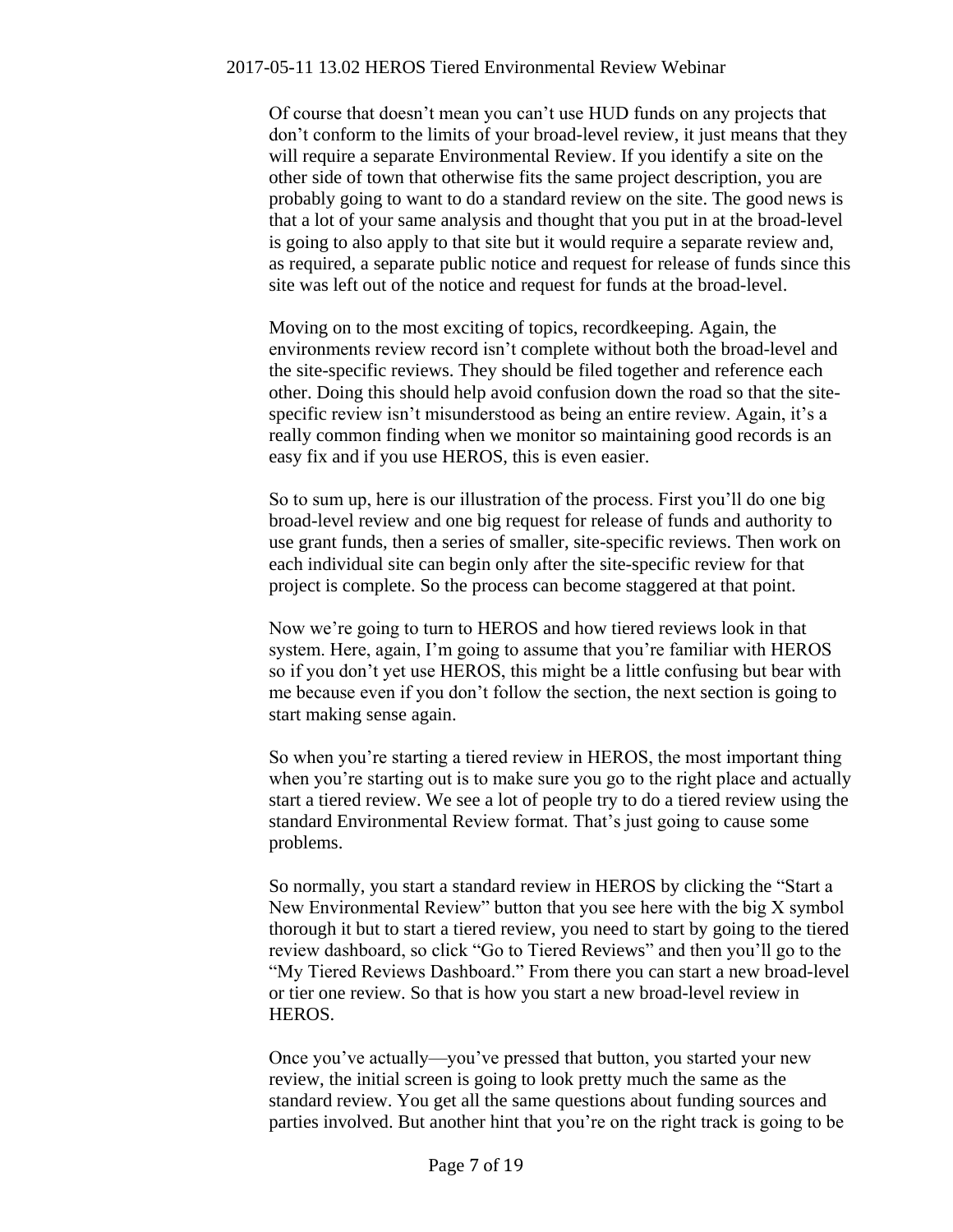Of course that doesn't mean you can't use HUD funds on any projects that don't conform to the limits of your broad-level review, it just means that they will require a separate Environmental Review. If you identify a site on the other side of town that otherwise fits the same project description, you are probably going to want to do a standard review on the site. The good news is that a lot of your same analysis and thought that you put in at the broad-level is going to also apply to that site but it would require a separate review and, as required, a separate public notice and request for release of funds since this site was left out of the notice and request for funds at the broad-level.

Moving on to the most exciting of topics, recordkeeping. Again, the environments review record isn't complete without both the broad-level and the site-specific reviews. They should be filed together and reference each other. Doing this should help avoid confusion down the road so that the sitespecific review isn't misunderstood as being an entire review. Again, it's a really common finding when we monitor so maintaining good records is an easy fix and if you use HEROS, this is even easier.

So to sum up, here is our illustration of the process. First you'll do one big broad-level review and one big request for release of funds and authority to use grant funds, then a series of smaller, site-specific reviews. Then work on each individual site can begin only after the site-specific review for that project is complete. So the process can become staggered at that point.

Now we're going to turn to HEROS and how tiered reviews look in that system. Here, again, I'm going to assume that you're familiar with HEROS so if you don't yet use HEROS, this might be a little confusing but bear with me because even if you don't follow the section, the next section is going to start making sense again.

So when you're starting a tiered review in HEROS, the most important thing when you're starting out is to make sure you go to the right place and actually start a tiered review. We see a lot of people try to do a tiered review using the standard Environmental Review format. That's just going to cause some problems.

So normally, you start a standard review in HEROS by clicking the "Start a New Environmental Review" button that you see here with the big X symbol thorough it but to start a tiered review, you need to start by going to the tiered review dashboard, so click "Go to Tiered Reviews" and then you'll go to the "My Tiered Reviews Dashboard." From there you can start a new broad-level or tier one review. So that is how you start a new broad-level review in HEROS.

Once you've actually—you've pressed that button, you started your new review, the initial screen is going to look pretty much the same as the standard review. You get all the same questions about funding sources and parties involved. But another hint that you're on the right track is going to be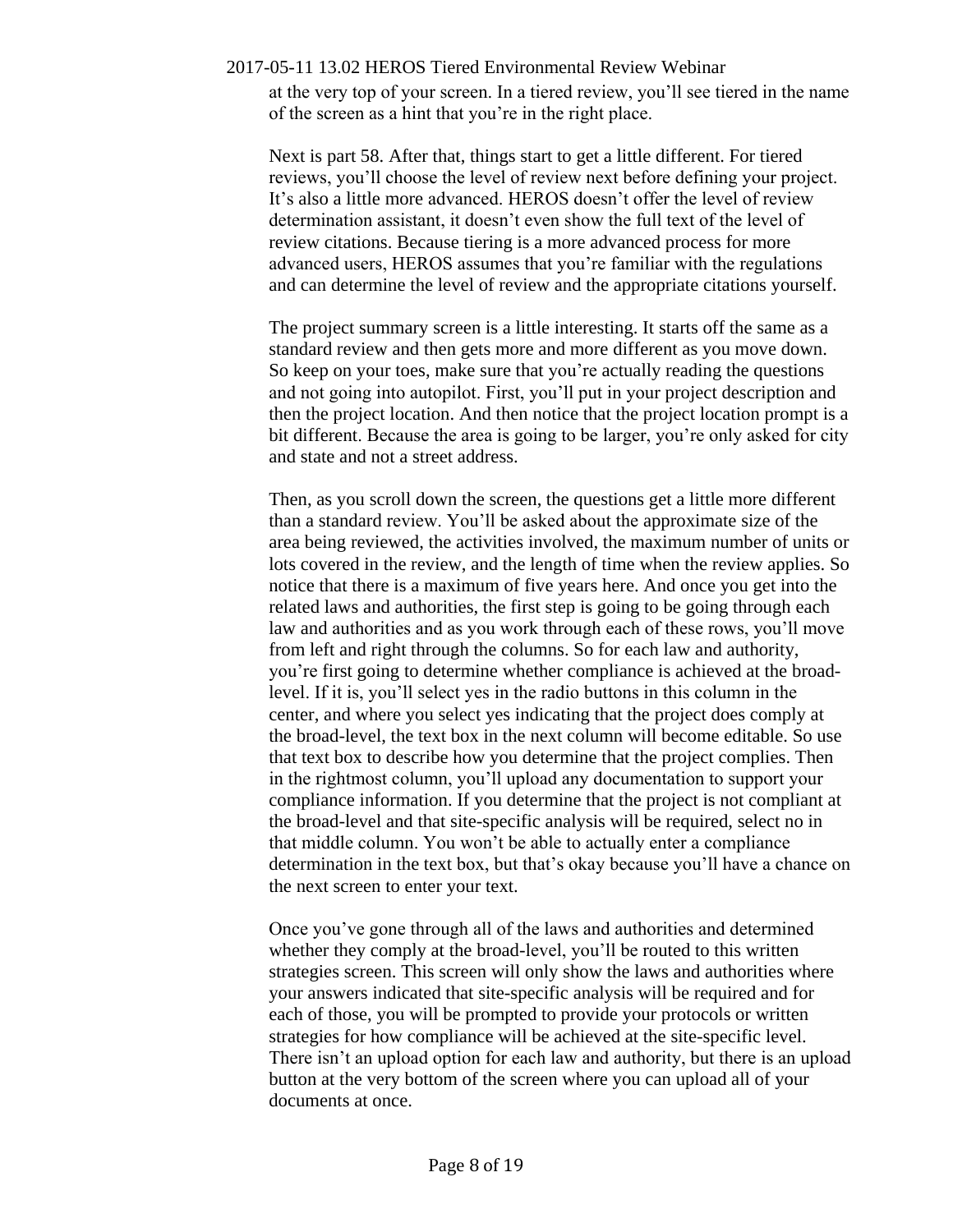2017-05-11 13.02 HEROS Tiered Environmental Review Webinar at the very top of your screen. In a tiered review, you'll see tiered in the name of the screen as a hint that you're in the right place.

Next is part 58. After that, things start to get a little different. For tiered reviews, you'll choose the level of review next before defining your project. It's also a little more advanced. HEROS doesn't offer the level of review determination assistant, it doesn't even show the full text of the level of review citations. Because tiering is a more advanced process for more advanced users, HEROS assumes that you're familiar with the regulations and can determine the level of review and the appropriate citations yourself.

The project summary screen is a little interesting. It starts off the same as a standard review and then gets more and more different as you move down. So keep on your toes, make sure that you're actually reading the questions and not going into autopilot. First, you'll put in your project description and then the project location. And then notice that the project location prompt is a bit different. Because the area is going to be larger, you're only asked for city and state and not a street address.

Then, as you scroll down the screen, the questions get a little more different than a standard review. You'll be asked about the approximate size of the area being reviewed, the activities involved, the maximum number of units or lots covered in the review, and the length of time when the review applies. So notice that there is a maximum of five years here. And once you get into the related laws and authorities, the first step is going to be going through each law and authorities and as you work through each of these rows, you'll move from left and right through the columns. So for each law and authority, you're first going to determine whether compliance is achieved at the broadlevel. If it is, you'll select yes in the radio buttons in this column in the center, and where you select yes indicating that the project does comply at the broad-level, the text box in the next column will become editable. So use that text box to describe how you determine that the project complies. Then in the rightmost column, you'll upload any documentation to support your compliance information. If you determine that the project is not compliant at the broad-level and that site-specific analysis will be required, select no in that middle column. You won't be able to actually enter a compliance determination in the text box, but that's okay because you'll have a chance on the next screen to enter your text.

Once you've gone through all of the laws and authorities and determined whether they comply at the broad-level, you'll be routed to this written strategies screen. This screen will only show the laws and authorities where your answers indicated that site-specific analysis will be required and for each of those, you will be prompted to provide your protocols or written strategies for how compliance will be achieved at the site-specific level. There isn't an upload option for each law and authority, but there is an upload button at the very bottom of the screen where you can upload all of your documents at once.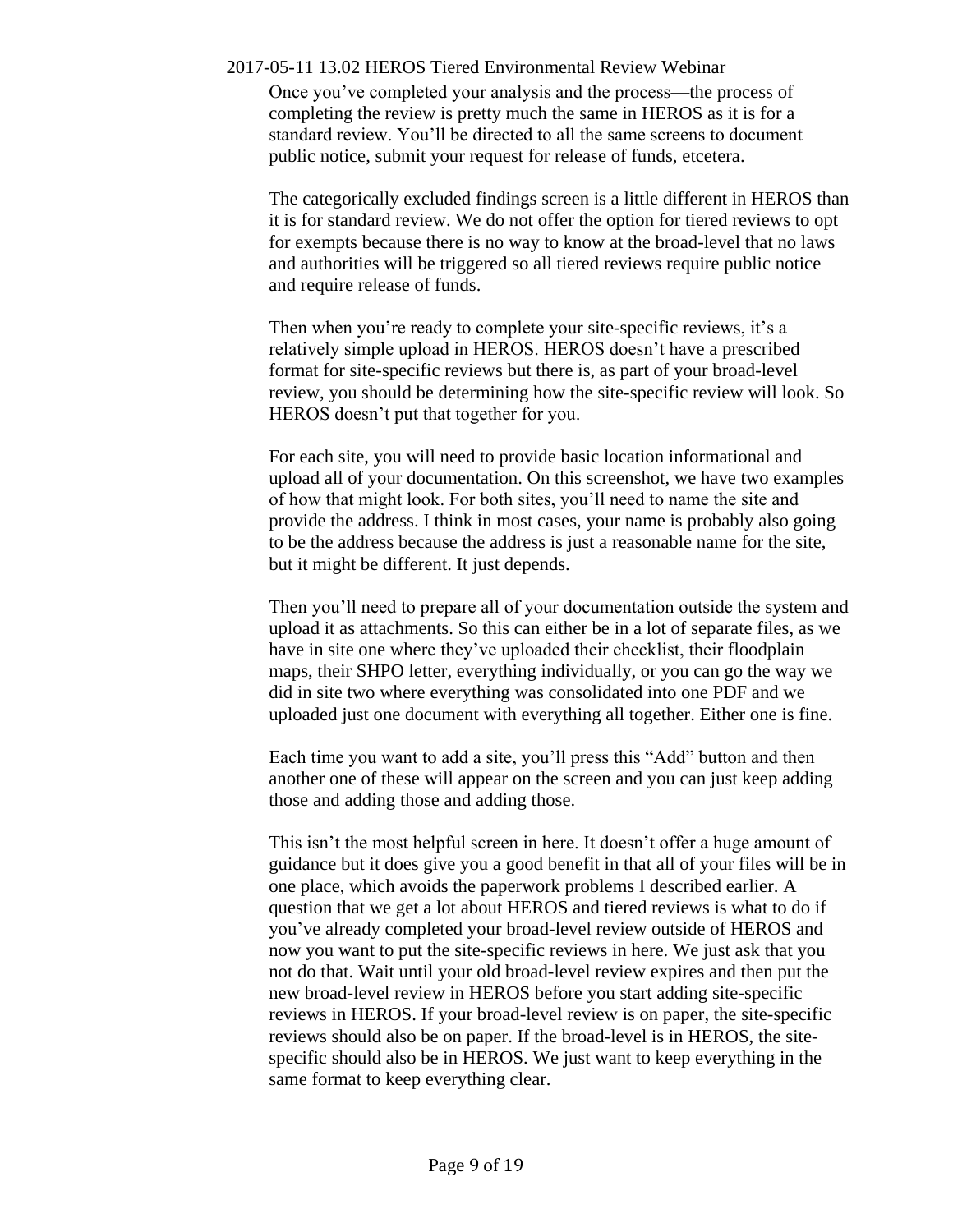Once you've completed your analysis and the process—the process of completing the review is pretty much the same in HEROS as it is for a standard review. You'll be directed to all the same screens to document public notice, submit your request for release of funds, etcetera.

The categorically excluded findings screen is a little different in HEROS than it is for standard review. We do not offer the option for tiered reviews to opt for exempts because there is no way to know at the broad-level that no laws and authorities will be triggered so all tiered reviews require public notice and require release of funds.

Then when you're ready to complete your site-specific reviews, it's a relatively simple upload in HEROS. HEROS doesn't have a prescribed format for site-specific reviews but there is, as part of your broad-level review, you should be determining how the site-specific review will look. So HEROS doesn't put that together for you.

For each site, you will need to provide basic location informational and upload all of your documentation. On this screenshot, we have two examples of how that might look. For both sites, you'll need to name the site and provide the address. I think in most cases, your name is probably also going to be the address because the address is just a reasonable name for the site, but it might be different. It just depends.

Then you'll need to prepare all of your documentation outside the system and upload it as attachments. So this can either be in a lot of separate files, as we have in site one where they've uploaded their checklist, their floodplain maps, their SHPO letter, everything individually, or you can go the way we did in site two where everything was consolidated into one PDF and we uploaded just one document with everything all together. Either one is fine.

Each time you want to add a site, you'll press this "Add" button and then another one of these will appear on the screen and you can just keep adding those and adding those and adding those.

This isn't the most helpful screen in here. It doesn't offer a huge amount of guidance but it does give you a good benefit in that all of your files will be in one place, which avoids the paperwork problems I described earlier. A question that we get a lot about HEROS and tiered reviews is what to do if you've already completed your broad-level review outside of HEROS and now you want to put the site-specific reviews in here. We just ask that you not do that. Wait until your old broad-level review expires and then put the new broad-level review in HEROS before you start adding site-specific reviews in HEROS. If your broad-level review is on paper, the site-specific reviews should also be on paper. If the broad-level is in HEROS, the sitespecific should also be in HEROS. We just want to keep everything in the same format to keep everything clear.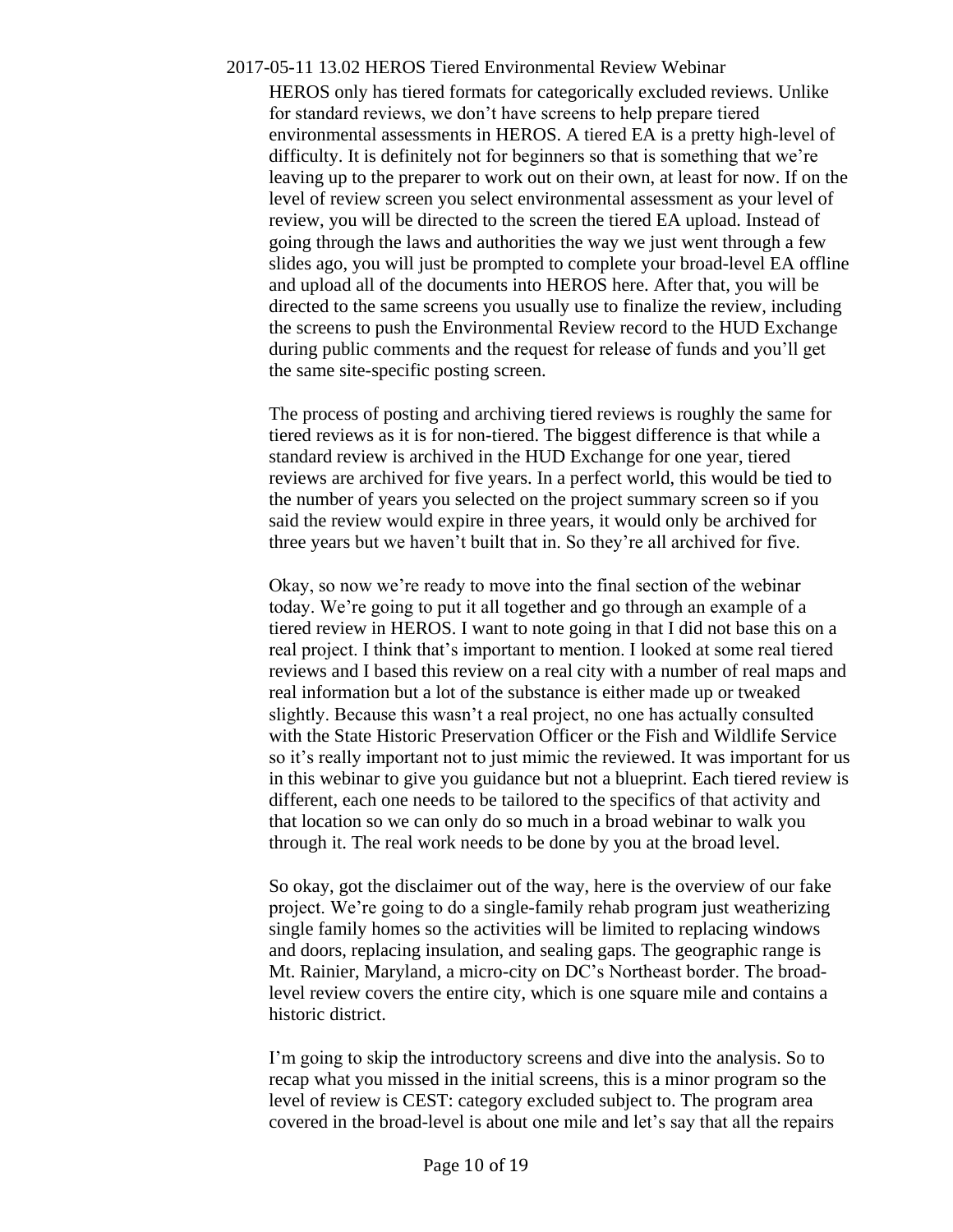# 2017-05-11 13.02 HEROS Tiered Environmental Review Webinar HEROS only has tiered formats for categorically excluded reviews. Unlike for standard reviews, we don't have screens to help prepare tiered environmental assessments in HEROS. A tiered EA is a pretty high-level of difficulty. It is definitely not for beginners so that is something that we're leaving up to the preparer to work out on their own, at least for now. If on the level of review screen you select environmental assessment as your level of review, you will be directed to the screen the tiered EA upload. Instead of going through the laws and authorities the way we just went through a few slides ago, you will just be prompted to complete your broad-level EA offline and upload all of the documents into HEROS here. After that, you will be directed to the same screens you usually use to finalize the review, including the screens to push the Environmental Review record to the HUD Exchange during public comments and the request for release of funds and you'll get the same site-specific posting screen.

The process of posting and archiving tiered reviews is roughly the same for tiered reviews as it is for non-tiered. The biggest difference is that while a standard review is archived in the HUD Exchange for one year, tiered reviews are archived for five years. In a perfect world, this would be tied to the number of years you selected on the project summary screen so if you said the review would expire in three years, it would only be archived for three years but we haven't built that in. So they're all archived for five.

Okay, so now we're ready to move into the final section of the webinar today. We're going to put it all together and go through an example of a tiered review in HEROS. I want to note going in that I did not base this on a real project. I think that's important to mention. I looked at some real tiered reviews and I based this review on a real city with a number of real maps and real information but a lot of the substance is either made up or tweaked slightly. Because this wasn't a real project, no one has actually consulted with the State Historic Preservation Officer or the Fish and Wildlife Service so it's really important not to just mimic the reviewed. It was important for us in this webinar to give you guidance but not a blueprint. Each tiered review is different, each one needs to be tailored to the specifics of that activity and that location so we can only do so much in a broad webinar to walk you through it. The real work needs to be done by you at the broad level.

So okay, got the disclaimer out of the way, here is the overview of our fake project. We're going to do a single-family rehab program just weatherizing single family homes so the activities will be limited to replacing windows and doors, replacing insulation, and sealing gaps. The geographic range is Mt. Rainier, Maryland, a micro-city on DC's Northeast border. The broadlevel review covers the entire city, which is one square mile and contains a historic district.

I'm going to skip the introductory screens and dive into the analysis. So to recap what you missed in the initial screens, this is a minor program so the level of review is CEST: category excluded subject to. The program area covered in the broad-level is about one mile and let's say that all the repairs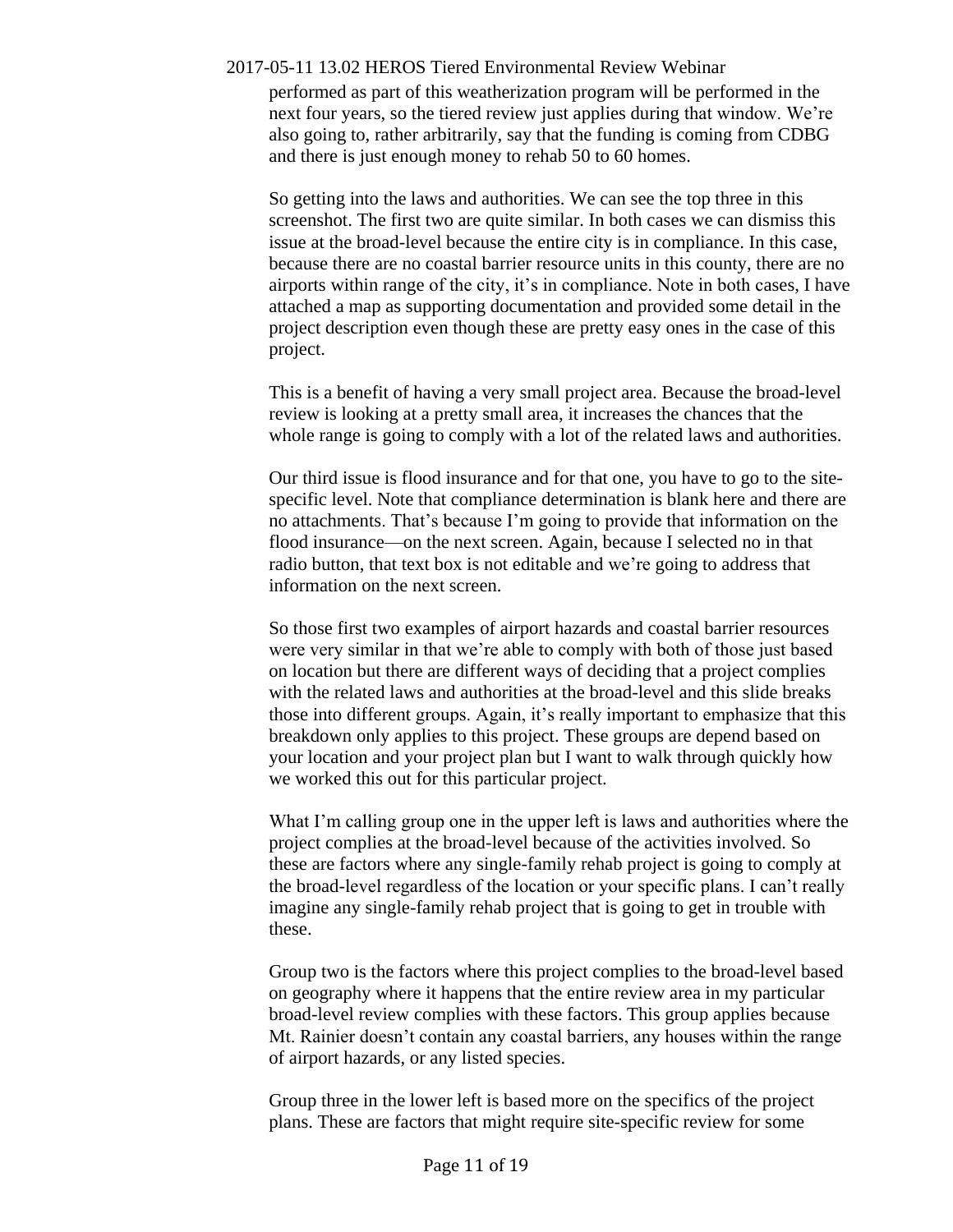performed as part of this weatherization program will be performed in the next four years, so the tiered review just applies during that window. We're also going to, rather arbitrarily, say that the funding is coming from CDBG and there is just enough money to rehab 50 to 60 homes.

So getting into the laws and authorities. We can see the top three in this screenshot. The first two are quite similar. In both cases we can dismiss this issue at the broad-level because the entire city is in compliance. In this case, because there are no coastal barrier resource units in this county, there are no airports within range of the city, it's in compliance. Note in both cases, I have attached a map as supporting documentation and provided some detail in the project description even though these are pretty easy ones in the case of this project.

This is a benefit of having a very small project area. Because the broad-level review is looking at a pretty small area, it increases the chances that the whole range is going to comply with a lot of the related laws and authorities.

Our third issue is flood insurance and for that one, you have to go to the sitespecific level. Note that compliance determination is blank here and there are no attachments. That's because I'm going to provide that information on the flood insurance—on the next screen. Again, because I selected no in that radio button, that text box is not editable and we're going to address that information on the next screen.

So those first two examples of airport hazards and coastal barrier resources were very similar in that we're able to comply with both of those just based on location but there are different ways of deciding that a project complies with the related laws and authorities at the broad-level and this slide breaks those into different groups. Again, it's really important to emphasize that this breakdown only applies to this project. These groups are depend based on your location and your project plan but I want to walk through quickly how we worked this out for this particular project.

What I'm calling group one in the upper left is laws and authorities where the project complies at the broad-level because of the activities involved. So these are factors where any single-family rehab project is going to comply at the broad-level regardless of the location or your specific plans. I can't really imagine any single-family rehab project that is going to get in trouble with these.

Group two is the factors where this project complies to the broad-level based on geography where it happens that the entire review area in my particular broad-level review complies with these factors. This group applies because Mt. Rainier doesn't contain any coastal barriers, any houses within the range of airport hazards, or any listed species.

Group three in the lower left is based more on the specifics of the project plans. These are factors that might require site-specific review for some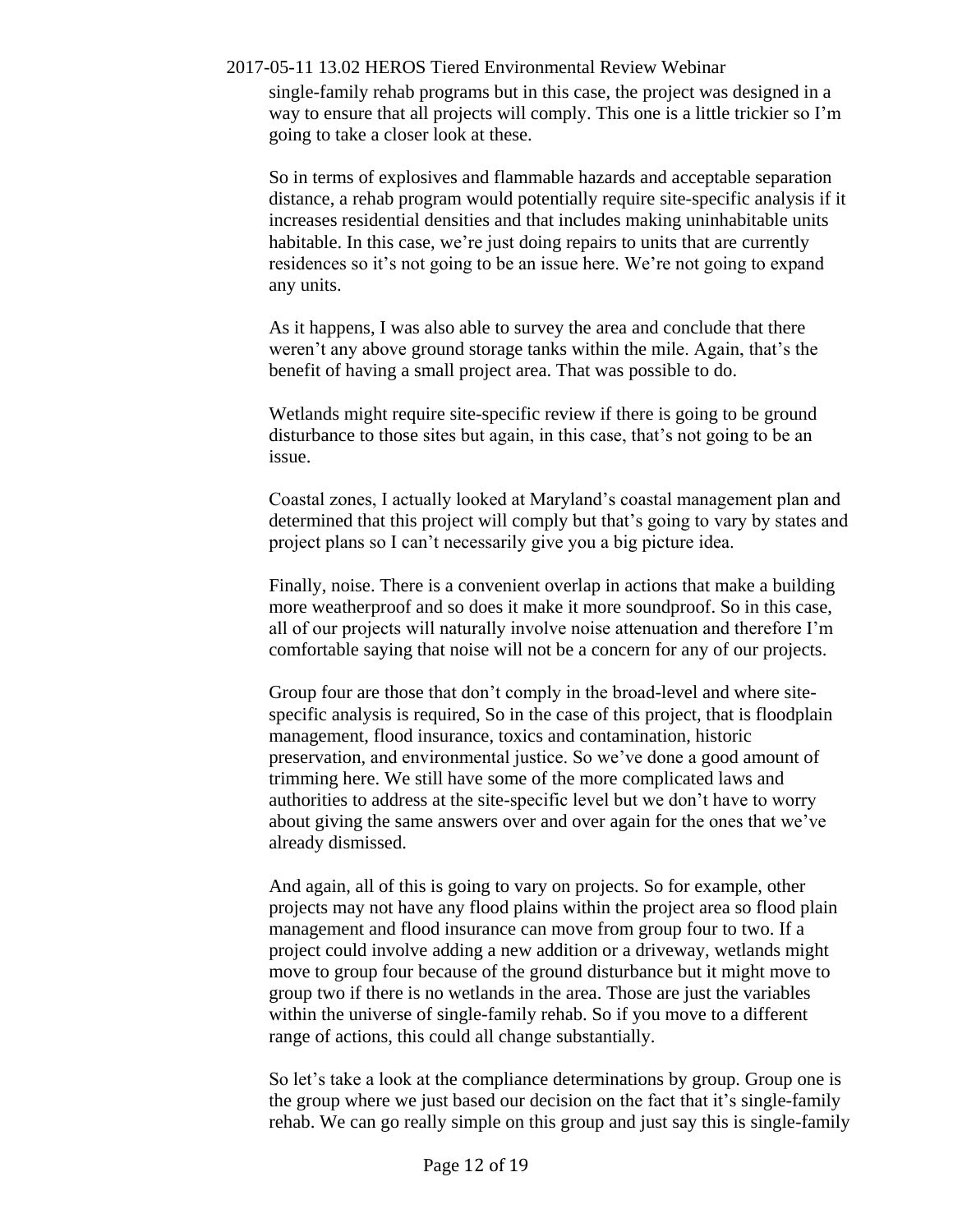single-family rehab programs but in this case, the project was designed in a way to ensure that all projects will comply. This one is a little trickier so I'm going to take a closer look at these.

So in terms of explosives and flammable hazards and acceptable separation distance, a rehab program would potentially require site-specific analysis if it increases residential densities and that includes making uninhabitable units habitable. In this case, we're just doing repairs to units that are currently residences so it's not going to be an issue here. We're not going to expand any units.

As it happens, I was also able to survey the area and conclude that there weren't any above ground storage tanks within the mile. Again, that's the benefit of having a small project area. That was possible to do.

Wetlands might require site-specific review if there is going to be ground disturbance to those sites but again, in this case, that's not going to be an issue.

Coastal zones, I actually looked at Maryland's coastal management plan and determined that this project will comply but that's going to vary by states and project plans so I can't necessarily give you a big picture idea.

Finally, noise. There is a convenient overlap in actions that make a building more weatherproof and so does it make it more soundproof. So in this case, all of our projects will naturally involve noise attenuation and therefore I'm comfortable saying that noise will not be a concern for any of our projects.

Group four are those that don't comply in the broad-level and where sitespecific analysis is required, So in the case of this project, that is floodplain management, flood insurance, toxics and contamination, historic preservation, and environmental justice. So we've done a good amount of trimming here. We still have some of the more complicated laws and authorities to address at the site-specific level but we don't have to worry about giving the same answers over and over again for the ones that we've already dismissed.

And again, all of this is going to vary on projects. So for example, other projects may not have any flood plains within the project area so flood plain management and flood insurance can move from group four to two. If a project could involve adding a new addition or a driveway, wetlands might move to group four because of the ground disturbance but it might move to group two if there is no wetlands in the area. Those are just the variables within the universe of single-family rehab. So if you move to a different range of actions, this could all change substantially.

So let's take a look at the compliance determinations by group. Group one is the group where we just based our decision on the fact that it's single-family rehab. We can go really simple on this group and just say this is single-family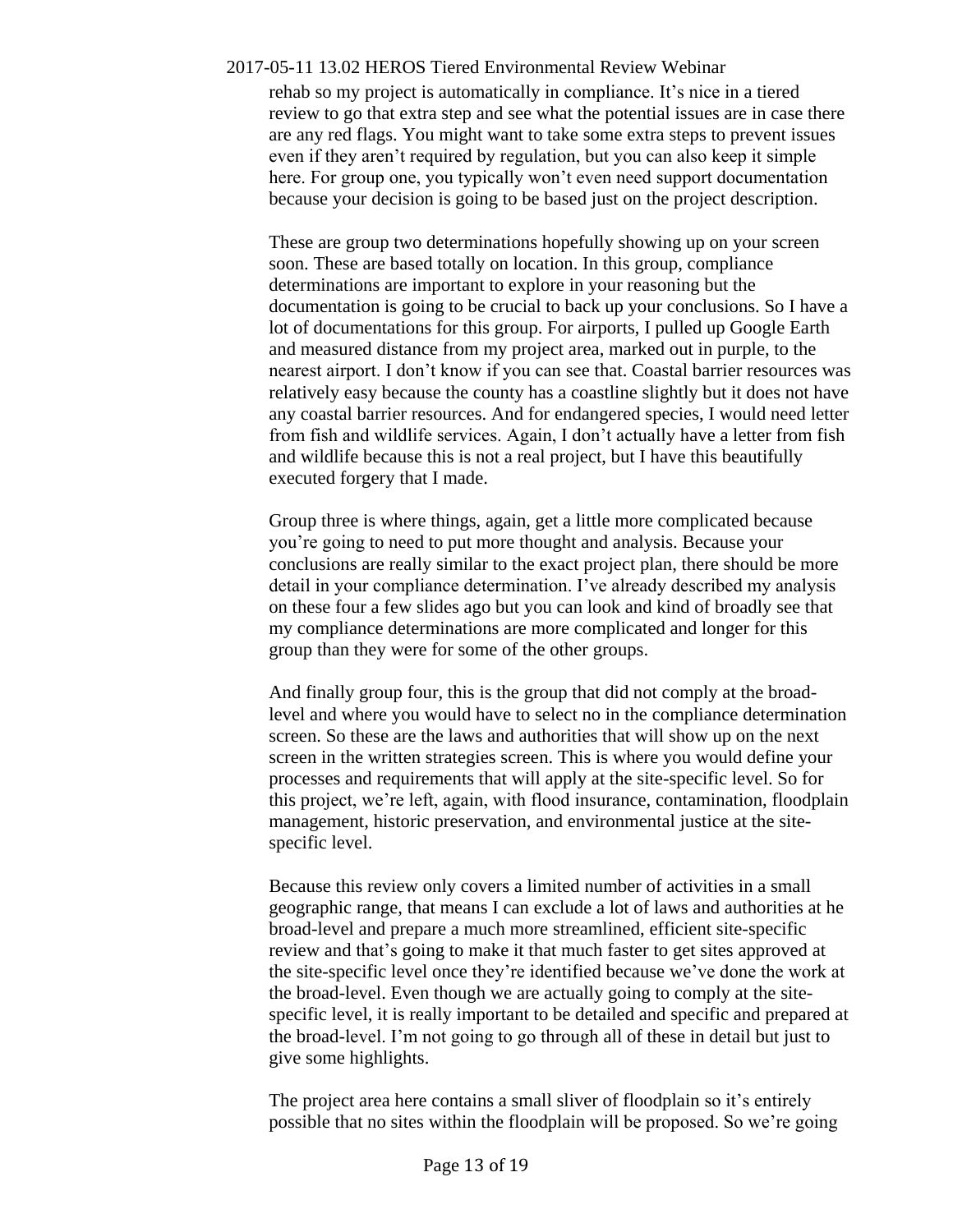rehab so my project is automatically in compliance. It's nice in a tiered review to go that extra step and see what the potential issues are in case there are any red flags. You might want to take some extra steps to prevent issues even if they aren't required by regulation, but you can also keep it simple here. For group one, you typically won't even need support documentation because your decision is going to be based just on the project description.

These are group two determinations hopefully showing up on your screen soon. These are based totally on location. In this group, compliance determinations are important to explore in your reasoning but the documentation is going to be crucial to back up your conclusions. So I have a lot of documentations for this group. For airports, I pulled up Google Earth and measured distance from my project area, marked out in purple, to the nearest airport. I don't know if you can see that. Coastal barrier resources was relatively easy because the county has a coastline slightly but it does not have any coastal barrier resources. And for endangered species, I would need letter from fish and wildlife services. Again, I don't actually have a letter from fish and wildlife because this is not a real project, but I have this beautifully executed forgery that I made.

Group three is where things, again, get a little more complicated because you're going to need to put more thought and analysis. Because your conclusions are really similar to the exact project plan, there should be more detail in your compliance determination. I've already described my analysis on these four a few slides ago but you can look and kind of broadly see that my compliance determinations are more complicated and longer for this group than they were for some of the other groups.

And finally group four, this is the group that did not comply at the broadlevel and where you would have to select no in the compliance determination screen. So these are the laws and authorities that will show up on the next screen in the written strategies screen. This is where you would define your processes and requirements that will apply at the site-specific level. So for this project, we're left, again, with flood insurance, contamination, floodplain management, historic preservation, and environmental justice at the sitespecific level.

Because this review only covers a limited number of activities in a small geographic range, that means I can exclude a lot of laws and authorities at he broad-level and prepare a much more streamlined, efficient site-specific review and that's going to make it that much faster to get sites approved at the site-specific level once they're identified because we've done the work at the broad-level. Even though we are actually going to comply at the sitespecific level, it is really important to be detailed and specific and prepared at the broad-level. I'm not going to go through all of these in detail but just to give some highlights.

The project area here contains a small sliver of floodplain so it's entirely possible that no sites within the floodplain will be proposed. So we're going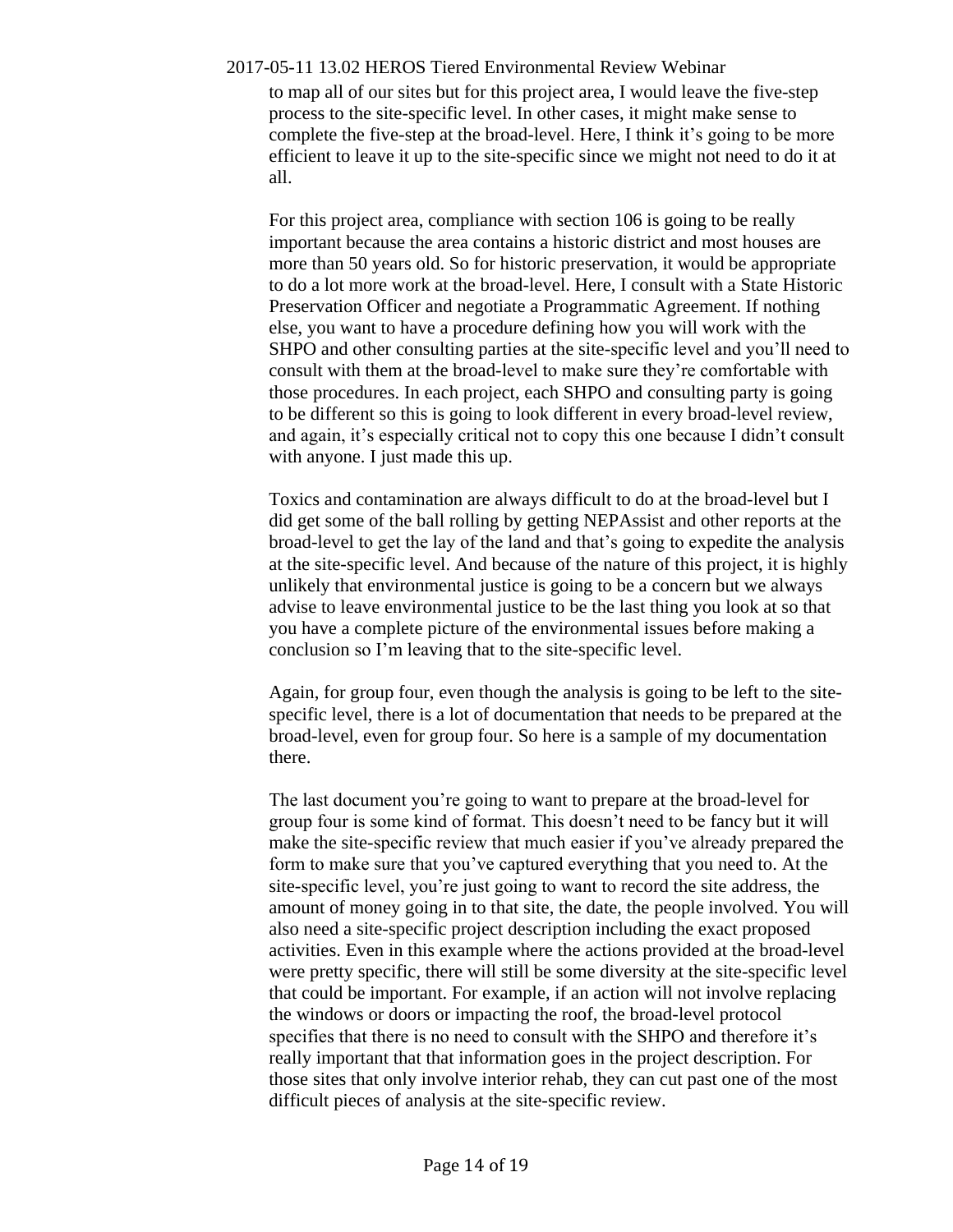2017-05-11 13.02 HEROS Tiered Environmental Review Webinar to map all of our sites but for this project area, I would leave the five-step

process to the site-specific level. In other cases, it might make sense to complete the five-step at the broad-level. Here, I think it's going to be more efficient to leave it up to the site-specific since we might not need to do it at all.

For this project area, compliance with section 106 is going to be really important because the area contains a historic district and most houses are more than 50 years old. So for historic preservation, it would be appropriate to do a lot more work at the broad-level. Here, I consult with a State Historic Preservation Officer and negotiate a Programmatic Agreement. If nothing else, you want to have a procedure defining how you will work with the SHPO and other consulting parties at the site-specific level and you'll need to consult with them at the broad-level to make sure they're comfortable with those procedures. In each project, each SHPO and consulting party is going to be different so this is going to look different in every broad-level review, and again, it's especially critical not to copy this one because I didn't consult with anyone. I just made this up.

Toxics and contamination are always difficult to do at the broad-level but I did get some of the ball rolling by getting NEPAssist and other reports at the broad-level to get the lay of the land and that's going to expedite the analysis at the site-specific level. And because of the nature of this project, it is highly unlikely that environmental justice is going to be a concern but we always advise to leave environmental justice to be the last thing you look at so that you have a complete picture of the environmental issues before making a conclusion so I'm leaving that to the site-specific level.

Again, for group four, even though the analysis is going to be left to the sitespecific level, there is a lot of documentation that needs to be prepared at the broad-level, even for group four. So here is a sample of my documentation there.

The last document you're going to want to prepare at the broad-level for group four is some kind of format. This doesn't need to be fancy but it will make the site-specific review that much easier if you've already prepared the form to make sure that you've captured everything that you need to. At the site-specific level, you're just going to want to record the site address, the amount of money going in to that site, the date, the people involved. You will also need a site-specific project description including the exact proposed activities. Even in this example where the actions provided at the broad-level were pretty specific, there will still be some diversity at the site-specific level that could be important. For example, if an action will not involve replacing the windows or doors or impacting the roof, the broad-level protocol specifies that there is no need to consult with the SHPO and therefore it's really important that that information goes in the project description. For those sites that only involve interior rehab, they can cut past one of the most difficult pieces of analysis at the site-specific review.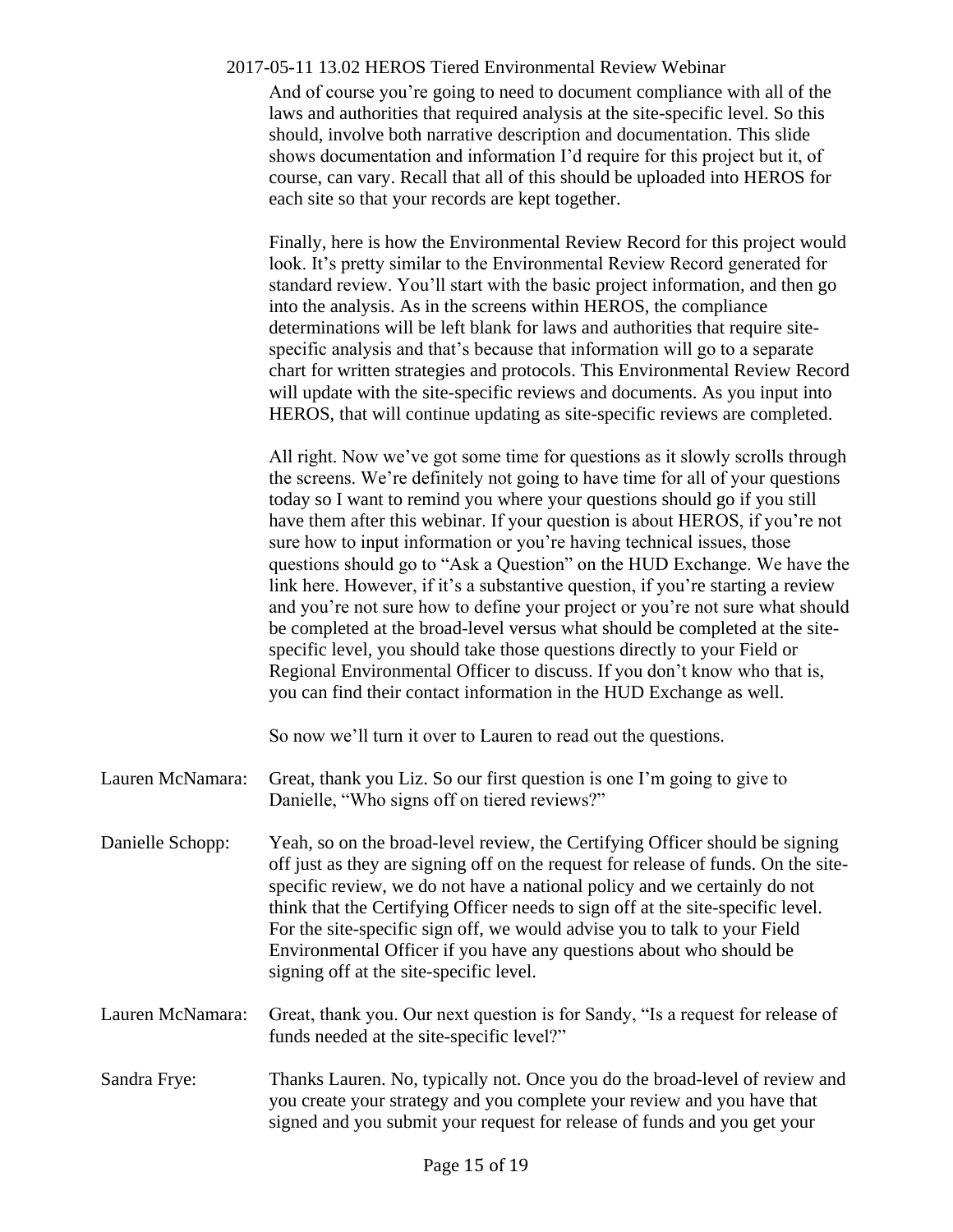And of course you're going to need to document compliance with all of the laws and authorities that required analysis at the site-specific level. So this should, involve both narrative description and documentation. This slide shows documentation and information I'd require for this project but it, of course, can vary. Recall that all of this should be uploaded into HEROS for each site so that your records are kept together.

Finally, here is how the Environmental Review Record for this project would look. It's pretty similar to the Environmental Review Record generated for standard review. You'll start with the basic project information, and then go into the analysis. As in the screens within HEROS, the compliance determinations will be left blank for laws and authorities that require sitespecific analysis and that's because that information will go to a separate chart for written strategies and protocols. This Environmental Review Record will update with the site-specific reviews and documents. As you input into HEROS, that will continue updating as site-specific reviews are completed.

All right. Now we've got some time for questions as it slowly scrolls through the screens. We're definitely not going to have time for all of your questions today so I want to remind you where your questions should go if you still have them after this webinar. If your question is about HEROS, if you're not sure how to input information or you're having technical issues, those questions should go to "Ask a Question" on the HUD Exchange. We have the link here. However, if it's a substantive question, if you're starting a review and you're not sure how to define your project or you're not sure what should be completed at the broad-level versus what should be completed at the sitespecific level, you should take those questions directly to your Field or Regional Environmental Officer to discuss. If you don't know who that is, you can find their contact information in the HUD Exchange as well.

So now we'll turn it over to Lauren to read out the questions.

- Lauren McNamara: Great, thank you Liz. So our first question is one I'm going to give to Danielle, "Who signs off on tiered reviews?"
- Danielle Schopp: Yeah, so on the broad-level review, the Certifying Officer should be signing off just as they are signing off on the request for release of funds. On the sitespecific review, we do not have a national policy and we certainly do not think that the Certifying Officer needs to sign off at the site-specific level. For the site-specific sign off, we would advise you to talk to your Field Environmental Officer if you have any questions about who should be signing off at the site-specific level.
- Lauren McNamara: Great, thank you. Our next question is for Sandy, "Is a request for release of funds needed at the site-specific level?"
- Sandra Frye: Thanks Lauren. No, typically not. Once you do the broad-level of review and you create your strategy and you complete your review and you have that signed and you submit your request for release of funds and you get your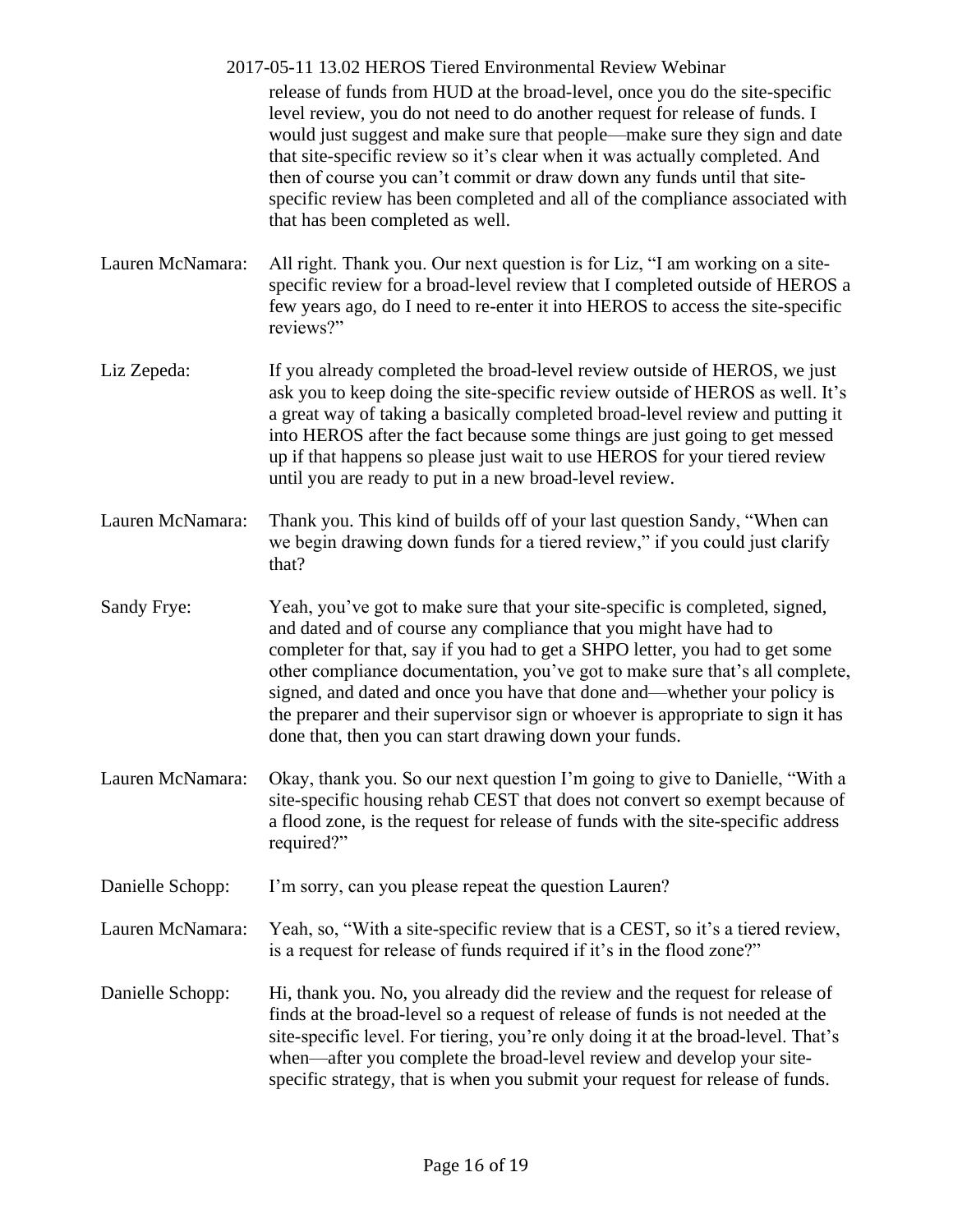|                  | 2017-05-11 13.02 HEROS Tiered Environmental Review Webinar<br>release of funds from HUD at the broad-level, once you do the site-specific<br>level review, you do not need to do another request for release of funds. I<br>would just suggest and make sure that people—make sure they sign and date<br>that site-specific review so it's clear when it was actually completed. And<br>then of course you can't commit or draw down any funds until that site-<br>specific review has been completed and all of the compliance associated with<br>that has been completed as well. |
|------------------|-------------------------------------------------------------------------------------------------------------------------------------------------------------------------------------------------------------------------------------------------------------------------------------------------------------------------------------------------------------------------------------------------------------------------------------------------------------------------------------------------------------------------------------------------------------------------------------|
| Lauren McNamara: | All right. Thank you. Our next question is for Liz, "I am working on a site-<br>specific review for a broad-level review that I completed outside of HEROS a<br>few years ago, do I need to re-enter it into HEROS to access the site-specific<br>reviews?"                                                                                                                                                                                                                                                                                                                         |
| Liz Zepeda:      | If you already completed the broad-level review outside of HEROS, we just<br>ask you to keep doing the site-specific review outside of HEROS as well. It's<br>a great way of taking a basically completed broad-level review and putting it<br>into HEROS after the fact because some things are just going to get messed<br>up if that happens so please just wait to use HEROS for your tiered review<br>until you are ready to put in a new broad-level review.                                                                                                                  |
| Lauren McNamara: | Thank you. This kind of builds off of your last question Sandy, "When can<br>we begin drawing down funds for a tiered review," if you could just clarify<br>that?                                                                                                                                                                                                                                                                                                                                                                                                                   |
| Sandy Frye:      | Yeah, you've got to make sure that your site-specific is completed, signed,<br>and dated and of course any compliance that you might have had to<br>completer for that, say if you had to get a SHPO letter, you had to get some<br>other compliance documentation, you've got to make sure that's all complete,<br>signed, and dated and once you have that done and—whether your policy is<br>the preparer and their supervisor sign or whoever is appropriate to sign it has<br>done that, then you can start drawing down your funds.                                           |
| Lauren McNamara: | Okay, thank you. So our next question I'm going to give to Danielle, "With a<br>site-specific housing rehab CEST that does not convert so exempt because of<br>a flood zone, is the request for release of funds with the site-specific address<br>required?"                                                                                                                                                                                                                                                                                                                       |
| Danielle Schopp: | I'm sorry, can you please repeat the question Lauren?                                                                                                                                                                                                                                                                                                                                                                                                                                                                                                                               |
| Lauren McNamara: | Yeah, so, "With a site-specific review that is a CEST, so it's a tiered review,<br>is a request for release of funds required if it's in the flood zone?"                                                                                                                                                                                                                                                                                                                                                                                                                           |
| Danielle Schopp: | Hi, thank you. No, you already did the review and the request for release of<br>finds at the broad-level so a request of release of funds is not needed at the<br>site-specific level. For tiering, you're only doing it at the broad-level. That's<br>when—after you complete the broad-level review and develop your site-<br>specific strategy, that is when you submit your request for release of funds.                                                                                                                                                                       |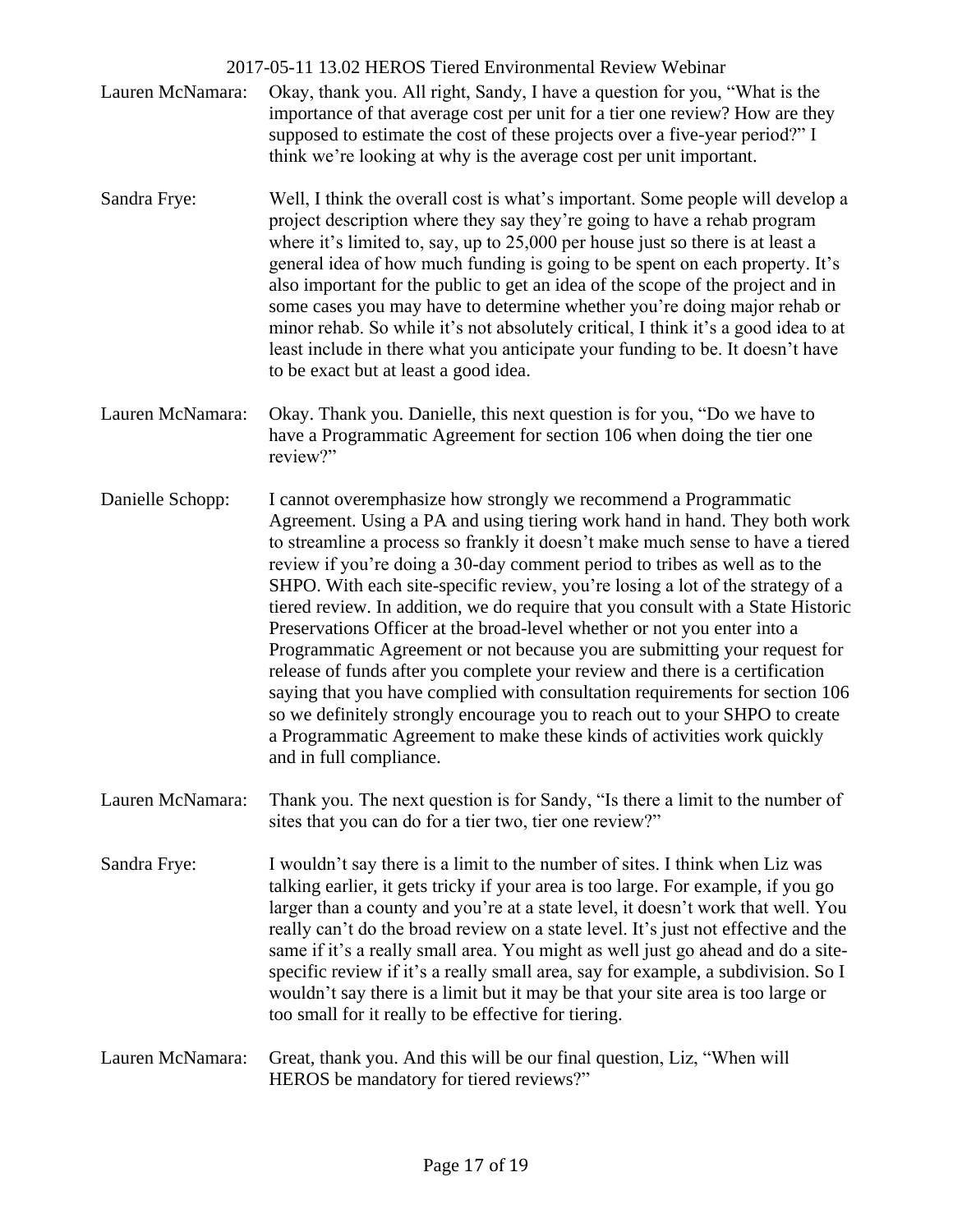2017-05-11 13.02 HEROS Tiered Environmental Review Webinar Lauren McNamara: Okay, thank you. All right, Sandy, I have a question for you, "What is the importance of that average cost per unit for a tier one review? How are they supposed to estimate the cost of these projects over a five-year period?" I think we're looking at why is the average cost per unit important. Sandra Frye: Well, I think the overall cost is what's important. Some people will develop a project description where they say they're going to have a rehab program where it's limited to, say, up to 25,000 per house just so there is at least a general idea of how much funding is going to be spent on each property. It's also important for the public to get an idea of the scope of the project and in some cases you may have to determine whether you're doing major rehab or minor rehab. So while it's not absolutely critical, I think it's a good idea to at least include in there what you anticipate your funding to be. It doesn't have to be exact but at least a good idea. Lauren McNamara: Okay. Thank you. Danielle, this next question is for you, "Do we have to have a Programmatic Agreement for section 106 when doing the tier one review?" Danielle Schopp: I cannot overemphasize how strongly we recommend a Programmatic Agreement. Using a PA and using tiering work hand in hand. They both work to streamline a process so frankly it doesn't make much sense to have a tiered review if you're doing a 30-day comment period to tribes as well as to the SHPO. With each site-specific review, you're losing a lot of the strategy of a tiered review. In addition, we do require that you consult with a State Historic Preservations Officer at the broad-level whether or not you enter into a Programmatic Agreement or not because you are submitting your request for release of funds after you complete your review and there is a certification saying that you have complied with consultation requirements for section 106 so we definitely strongly encourage you to reach out to your SHPO to create a Programmatic Agreement to make these kinds of activities work quickly and in full compliance. Lauren McNamara: Thank you. The next question is for Sandy, "Is there a limit to the number of sites that you can do for a tier two, tier one review?" Sandra Frye: I wouldn't say there is a limit to the number of sites. I think when Liz was talking earlier, it gets tricky if your area is too large. For example, if you go larger than a county and you're at a state level, it doesn't work that well. You really can't do the broad review on a state level. It's just not effective and the same if it's a really small area. You might as well just go ahead and do a sitespecific review if it's a really small area, say for example, a subdivision. So I wouldn't say there is a limit but it may be that your site area is too large or too small for it really to be effective for tiering. Lauren McNamara: Great, thank you. And this will be our final question, Liz, "When will HEROS be mandatory for tiered reviews?"